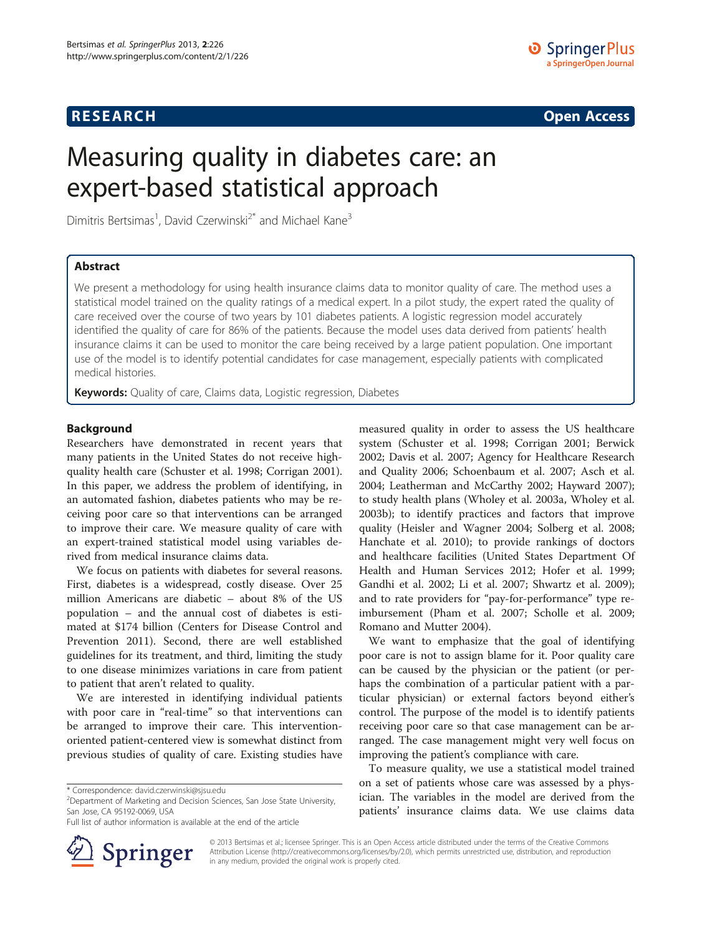# **RESEARCH RESEARCH CONSUMING ACCESS**

# Measuring quality in diabetes care: an expert-based statistical approach

Dimitris Bertsimas<sup>1</sup>, David Czerwinski<sup>2\*</sup> and Michael Kane<sup>3</sup>

# Abstract

We present a methodology for using health insurance claims data to monitor quality of care. The method uses a statistical model trained on the quality ratings of a medical expert. In a pilot study, the expert rated the quality of care received over the course of two years by 101 diabetes patients. A logistic regression model accurately identified the quality of care for 86% of the patients. Because the model uses data derived from patients' health insurance claims it can be used to monitor the care being received by a large patient population. One important use of the model is to identify potential candidates for case management, especially patients with complicated medical histories.

Keywords: Quality of care, Claims data, Logistic regression, Diabetes

### Background

Researchers have demonstrated in recent years that many patients in the United States do not receive highquality health care (Schuster et al. [1998;](#page-9-0) Corrigan [2001](#page-8-0)). In this paper, we address the problem of identifying, in an automated fashion, diabetes patients who may be receiving poor care so that interventions can be arranged to improve their care. We measure quality of care with an expert-trained statistical model using variables derived from medical insurance claims data.

We focus on patients with diabetes for several reasons. First, diabetes is a widespread, costly disease. Over 25 million Americans are diabetic – about 8% of the US population – and the annual cost of diabetes is estimated at \$174 billion (Centers for Disease Control and Prevention [2011\)](#page-8-0). Second, there are well established guidelines for its treatment, and third, limiting the study to one disease minimizes variations in care from patient to patient that aren't related to quality.

We are interested in identifying individual patients with poor care in "real-time" so that interventions can be arranged to improve their care. This interventionoriented patient-centered view is somewhat distinct from previous studies of quality of care. Existing studies have

Full list of author information is available at the end of the article



measured quality in order to assess the US healthcare system (Schuster et al. [1998](#page-9-0); Corrigan [2001](#page-8-0); Berwick [2002](#page-8-0); Davis et al. [2007](#page-8-0); Agency for Healthcare Research and Quality [2006](#page-8-0); Schoenbaum et al. [2007](#page-8-0); Asch et al. [2004](#page-8-0); Leatherman and McCarthy [2002](#page-8-0); Hayward [2007](#page-8-0)); to study health plans (Wholey et al. [2003a,](#page-9-0) Wholey et al. [2003b](#page-9-0)); to identify practices and factors that improve quality (Heisler and Wagner [2004;](#page-8-0) Solberg et al. [2008](#page-9-0); Hanchate et al. [2010](#page-8-0)); to provide rankings of doctors and healthcare facilities (United States Department Of Health and Human Services [2012;](#page-9-0) Hofer et al. [1999](#page-8-0); Gandhi et al. [2002](#page-8-0); Li et al. [2007;](#page-8-0) Shwartz et al. [2009](#page-9-0)); and to rate providers for "pay-for-performance" type reimbursement (Pham et al. [2007](#page-8-0); Scholle et al. [2009](#page-8-0); Romano and Mutter [2004](#page-8-0)).

We want to emphasize that the goal of identifying poor care is not to assign blame for it. Poor quality care can be caused by the physician or the patient (or perhaps the combination of a particular patient with a particular physician) or external factors beyond either's control. The purpose of the model is to identify patients receiving poor care so that case management can be arranged. The case management might very well focus on improving the patient's compliance with care.

To measure quality, we use a statistical model trained on a set of patients whose care was assessed by a physician. The variables in the model are derived from the patients' insurance claims data. We use claims data

© 2013 Bertsimas et al.; licensee Springer. This is an Open Access article distributed under the terms of the Creative Commons Attribution License [\(http://creativecommons.org/licenses/by/2.0\)](http://creativecommons.org/licenses/by/2.0), which permits unrestricted use, distribution, and reproduction in any medium, provided the original work is properly cited.

<sup>\*</sup> Correspondence: [david.czerwinski@sjsu.edu](mailto:david.czerwinski@sjsu.edu) <sup>2</sup>

<sup>&</sup>lt;sup>2</sup>Department of Marketing and Decision Sciences, San Jose State University, San Jose, CA 95192-0069, USA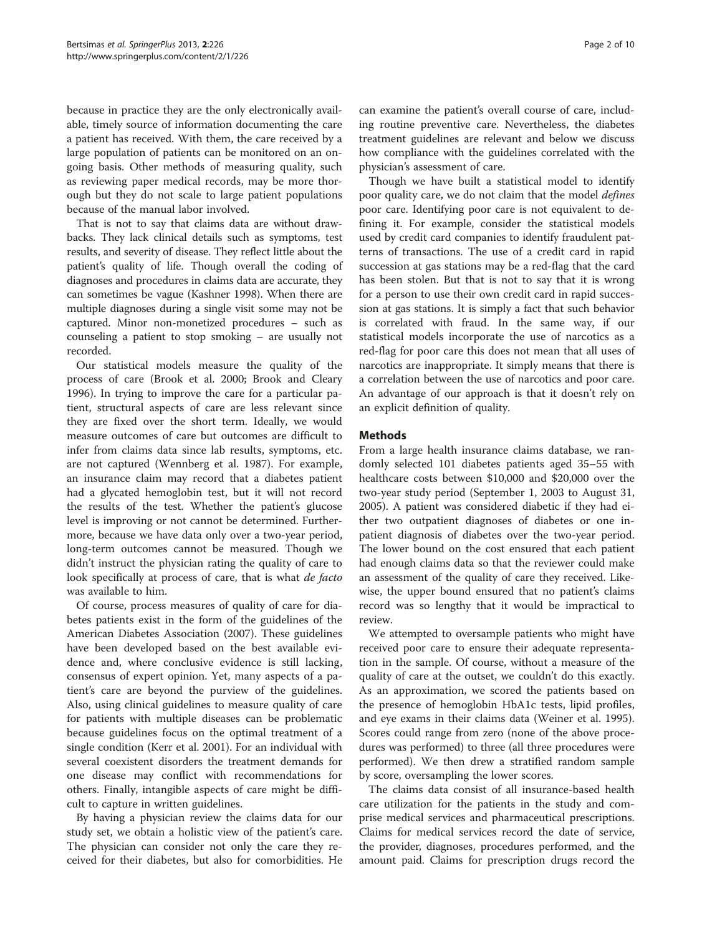because in practice they are the only electronically available, timely source of information documenting the care a patient has received. With them, the care received by a large population of patients can be monitored on an ongoing basis. Other methods of measuring quality, such as reviewing paper medical records, may be more thorough but they do not scale to large patient populations because of the manual labor involved.

That is not to say that claims data are without drawbacks. They lack clinical details such as symptoms, test results, and severity of disease. They reflect little about the patient's quality of life. Though overall the coding of diagnoses and procedures in claims data are accurate, they can sometimes be vague (Kashner [1998\)](#page-8-0). When there are multiple diagnoses during a single visit some may not be captured. Minor non-monetized procedures – such as counseling a patient to stop smoking – are usually not recorded.

Our statistical models measure the quality of the process of care (Brook et al. [2000](#page-8-0); Brook and Cleary [1996](#page-8-0)). In trying to improve the care for a particular patient, structural aspects of care are less relevant since they are fixed over the short term. Ideally, we would measure outcomes of care but outcomes are difficult to infer from claims data since lab results, symptoms, etc. are not captured (Wennberg et al. [1987\)](#page-9-0). For example, an insurance claim may record that a diabetes patient had a glycated hemoglobin test, but it will not record the results of the test. Whether the patient's glucose level is improving or not cannot be determined. Furthermore, because we have data only over a two-year period, long-term outcomes cannot be measured. Though we didn't instruct the physician rating the quality of care to look specifically at process of care, that is what *de facto* was available to him.

Of course, process measures of quality of care for diabetes patients exist in the form of the guidelines of the American Diabetes Association [\(2007\)](#page-8-0). These guidelines have been developed based on the best available evidence and, where conclusive evidence is still lacking, consensus of expert opinion. Yet, many aspects of a patient's care are beyond the purview of the guidelines. Also, using clinical guidelines to measure quality of care for patients with multiple diseases can be problematic because guidelines focus on the optimal treatment of a single condition (Kerr et al. [2001\)](#page-8-0). For an individual with several coexistent disorders the treatment demands for one disease may conflict with recommendations for others. Finally, intangible aspects of care might be difficult to capture in written guidelines.

By having a physician review the claims data for our study set, we obtain a holistic view of the patient's care. The physician can consider not only the care they received for their diabetes, but also for comorbidities. He

can examine the patient's overall course of care, including routine preventive care. Nevertheless, the diabetes treatment guidelines are relevant and below we discuss how compliance with the guidelines correlated with the physician's assessment of care.

Though we have built a statistical model to identify poor quality care, we do not claim that the model *defines* poor care. Identifying poor care is not equivalent to defining it. For example, consider the statistical models used by credit card companies to identify fraudulent patterns of transactions. The use of a credit card in rapid succession at gas stations may be a red-flag that the card has been stolen. But that is not to say that it is wrong for a person to use their own credit card in rapid succession at gas stations. It is simply a fact that such behavior is correlated with fraud. In the same way, if our statistical models incorporate the use of narcotics as a red-flag for poor care this does not mean that all uses of narcotics are inappropriate. It simply means that there is a correlation between the use of narcotics and poor care. An advantage of our approach is that it doesn't rely on an explicit definition of quality.

#### Methods

From a large health insurance claims database, we randomly selected 101 diabetes patients aged 35–55 with healthcare costs between \$10,000 and \$20,000 over the two-year study period (September 1, 2003 to August 31, 2005). A patient was considered diabetic if they had either two outpatient diagnoses of diabetes or one inpatient diagnosis of diabetes over the two-year period. The lower bound on the cost ensured that each patient had enough claims data so that the reviewer could make an assessment of the quality of care they received. Likewise, the upper bound ensured that no patient's claims record was so lengthy that it would be impractical to review.

We attempted to oversample patients who might have received poor care to ensure their adequate representation in the sample. Of course, without a measure of the quality of care at the outset, we couldn't do this exactly. As an approximation, we scored the patients based on the presence of hemoglobin HbA1c tests, lipid profiles, and eye exams in their claims data (Weiner et al. [1995](#page-9-0)). Scores could range from zero (none of the above procedures was performed) to three (all three procedures were performed). We then drew a stratified random sample by score, oversampling the lower scores.

The claims data consist of all insurance-based health care utilization for the patients in the study and comprise medical services and pharmaceutical prescriptions. Claims for medical services record the date of service, the provider, diagnoses, procedures performed, and the amount paid. Claims for prescription drugs record the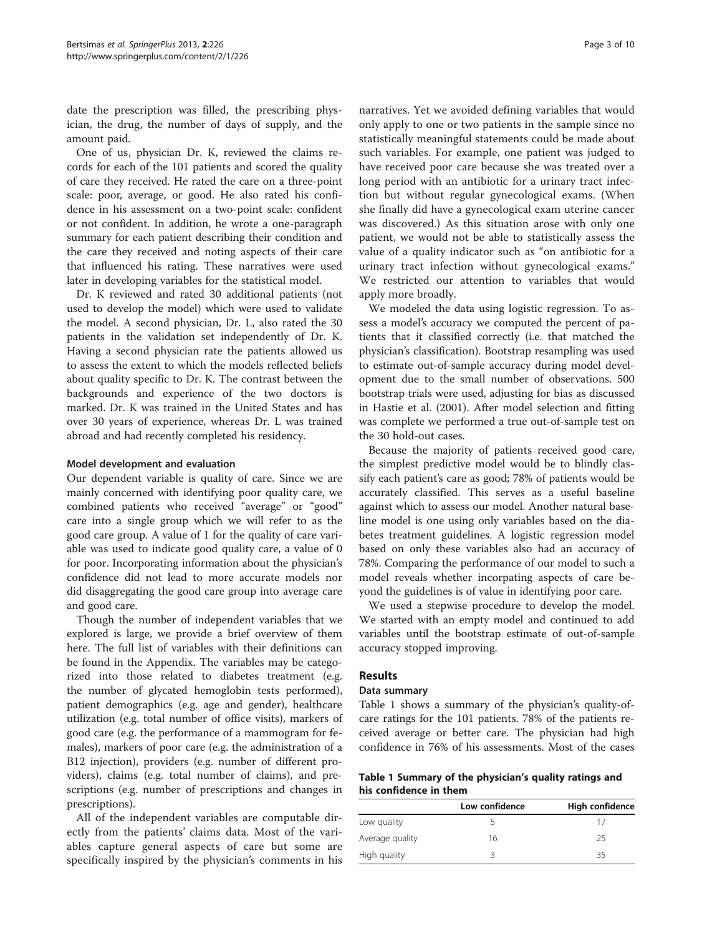date the prescription was filled, the prescribing physician, the drug, the number of days of supply, and the amount paid.

One of us, physician Dr. K, reviewed the claims records for each of the 101 patients and scored the quality of care they received. He rated the care on a three-point scale: poor, average, or good. He also rated his confidence in his assessment on a two-point scale: confident or not confident. In addition, he wrote a one-paragraph summary for each patient describing their condition and the care they received and noting aspects of their care that influenced his rating. These narratives were used later in developing variables for the statistical model.

Dr. K reviewed and rated 30 additional patients (not used to develop the model) which were used to validate the model. A second physician, Dr. L, also rated the 30 patients in the validation set independently of Dr. K. Having a second physician rate the patients allowed us to assess the extent to which the models reflected beliefs about quality specific to Dr. K. The contrast between the backgrounds and experience of the two doctors is marked. Dr. K was trained in the United States and has over 30 years of experience, whereas Dr. L was trained abroad and had recently completed his residency.

#### Model development and evaluation

Our dependent variable is quality of care. Since we are mainly concerned with identifying poor quality care, we combined patients who received "average" or "good" care into a single group which we will refer to as the good care group. A value of 1 for the quality of care variable was used to indicate good quality care, a value of 0 for poor. Incorporating information about the physician's confidence did not lead to more accurate models nor did disaggregating the good care group into average care and good care.

Though the number of independent variables that we explored is large, we provide a brief overview of them here. The full list of variables with their definitions can be found in the [Appendix.](#page-6-0) The variables may be categorized into those related to diabetes treatment (e.g. the number of glycated hemoglobin tests performed), patient demographics (e.g. age and gender), healthcare utilization (e.g. total number of office visits), markers of good care (e.g. the performance of a mammogram for females), markers of poor care (e.g. the administration of a B12 injection), providers (e.g. number of different providers), claims (e.g. total number of claims), and prescriptions (e.g. number of prescriptions and changes in prescriptions).

All of the independent variables are computable directly from the patients' claims data. Most of the variables capture general aspects of care but some are specifically inspired by the physician's comments in his

narratives. Yet we avoided defining variables that would only apply to one or two patients in the sample since no statistically meaningful statements could be made about such variables. For example, one patient was judged to have received poor care because she was treated over a long period with an antibiotic for a urinary tract infection but without regular gynecological exams. (When she finally did have a gynecological exam uterine cancer was discovered.) As this situation arose with only one patient, we would not be able to statistically assess the value of a quality indicator such as "on antibiotic for a urinary tract infection without gynecological exams." We restricted our attention to variables that would apply more broadly.

We modeled the data using logistic regression. To assess a model's accuracy we computed the percent of patients that it classified correctly (i.e. that matched the physician's classification). Bootstrap resampling was used to estimate out-of-sample accuracy during model development due to the small number of observations. 500 bootstrap trials were used, adjusting for bias as discussed in Hastie et al. [\(2001\)](#page-8-0). After model selection and fitting was complete we performed a true out-of-sample test on the 30 hold-out cases.

Because the majority of patients received good care, the simplest predictive model would be to blindly classify each patient's care as good; 78% of patients would be accurately classified. This serves as a useful baseline against which to assess our model. Another natural baseline model is one using only variables based on the diabetes treatment guidelines. A logistic regression model based on only these variables also had an accuracy of 78%. Comparing the performance of our model to such a model reveals whether incorpating aspects of care beyond the guidelines is of value in identifying poor care.

We used a stepwise procedure to develop the model. We started with an empty model and continued to add variables until the bootstrap estimate of out-of-sample accuracy stopped improving.

# Results

#### Data summary

Table 1 shows a summary of the physician's quality-ofcare ratings for the 101 patients. 78% of the patients received average or better care. The physician had high confidence in 76% of his assessments. Most of the cases

Table 1 Summary of the physician's quality ratings and his confidence in them

|                 | Low confidence | High confidence |
|-----------------|----------------|-----------------|
| Low quality     |                |                 |
| Average quality | 16             | 25              |
| High quality    |                | 35              |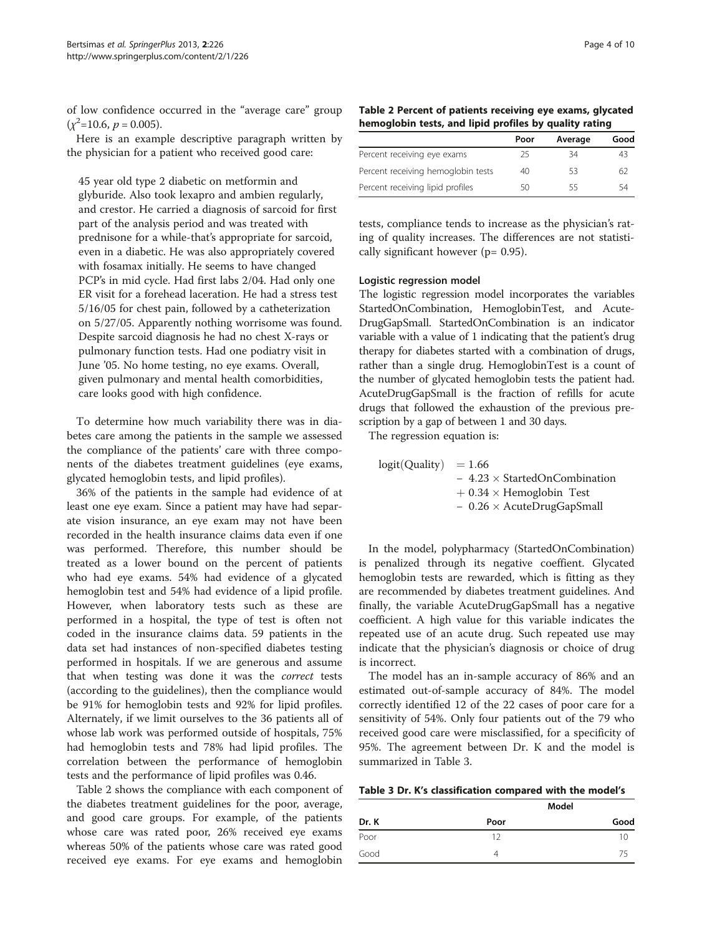of low confidence occurred in the "average care" group  $(\chi^2 = 10.6, p = 0.005).$ 

Here is an example descriptive paragraph written by the physician for a patient who received good care:

45 year old type 2 diabetic on metformin and glyburide. Also took lexapro and ambien regularly, and crestor. He carried a diagnosis of sarcoid for first part of the analysis period and was treated with prednisone for a while-that's appropriate for sarcoid, even in a diabetic. He was also appropriately covered with fosamax initially. He seems to have changed PCP's in mid cycle. Had first labs 2/04. Had only one ER visit for a forehead laceration. He had a stress test 5/16/05 for chest pain, followed by a catheterization on 5/27/05. Apparently nothing worrisome was found. Despite sarcoid diagnosis he had no chest X-rays or pulmonary function tests. Had one podiatry visit in June '05. No home testing, no eye exams. Overall, given pulmonary and mental health comorbidities, care looks good with high confidence.

To determine how much variability there was in diabetes care among the patients in the sample we assessed the compliance of the patients' care with three components of the diabetes treatment guidelines (eye exams, glycated hemoglobin tests, and lipid profiles).

36% of the patients in the sample had evidence of at least one eye exam. Since a patient may have had separate vision insurance, an eye exam may not have been recorded in the health insurance claims data even if one was performed. Therefore, this number should be treated as a lower bound on the percent of patients who had eye exams. 54% had evidence of a glycated hemoglobin test and 54% had evidence of a lipid profile. However, when laboratory tests such as these are performed in a hospital, the type of test is often not coded in the insurance claims data. 59 patients in the data set had instances of non-specified diabetes testing performed in hospitals. If we are generous and assume that when testing was done it was the correct tests (according to the guidelines), then the compliance would be 91% for hemoglobin tests and 92% for lipid profiles. Alternately, if we limit ourselves to the 36 patients all of whose lab work was performed outside of hospitals, 75% had hemoglobin tests and 78% had lipid profiles. The correlation between the performance of hemoglobin tests and the performance of lipid profiles was 0.46.

Table 2 shows the compliance with each component of the diabetes treatment guidelines for the poor, average, and good care groups. For example, of the patients whose care was rated poor, 26% received eye exams whereas 50% of the patients whose care was rated good received eye exams. For eye exams and hemoglobin

| Table 2 Percent of patients receiving eye exams, glycated |
|-----------------------------------------------------------|
| hemoglobin tests, and lipid profiles by quality rating    |

|                                    | Poor | Average | Good |
|------------------------------------|------|---------|------|
| Percent receiving eye exams        | 25   | 34      | 43   |
| Percent receiving hemoglobin tests | 40   | 53      | 62   |
| Percent receiving lipid profiles   | 50   | 55      |      |

tests, compliance tends to increase as the physician's rating of quality increases. The differences are not statistically significant however (p= 0.95).

#### Logistic regression model

The logistic regression model incorporates the variables StartedOnCombination, HemoglobinTest, and Acute-DrugGapSmall. StartedOnCombination is an indicator variable with a value of 1 indicating that the patient's drug therapy for diabetes started with a combination of drugs, rather than a single drug. HemoglobinTest is a count of the number of glycated hemoglobin tests the patient had. AcuteDrugGapSmall is the fraction of refills for acute drugs that followed the exhaustion of the previous prescription by a gap of between 1 and 30 days.

The regression equation is:

| $logit(Quality) = 1.66$ |                                     |
|-------------------------|-------------------------------------|
|                         | $-4.23 \times$ StartedOnCombination |
|                         | $+0.34 \times$ Hemoglobin Test      |
|                         | $-0.26 \times$ AcuteDrugGapSmall    |
|                         |                                     |

In the model, polypharmacy (StartedOnCombination) is penalized through its negative coeffient. Glycated hemoglobin tests are rewarded, which is fitting as they are recommended by diabetes treatment guidelines. And finally, the variable AcuteDrugGapSmall has a negative coefficient. A high value for this variable indicates the repeated use of an acute drug. Such repeated use may indicate that the physician's diagnosis or choice of drug is incorrect.

The model has an in-sample accuracy of 86% and an estimated out-of-sample accuracy of 84%. The model correctly identified 12 of the 22 cases of poor care for a sensitivity of 54%. Only four patients out of the 79 who received good care were misclassified, for a specificity of 95%. The agreement between Dr. K and the model is summarized in Table 3.

|       | Model |      |  |
|-------|-------|------|--|
| Dr. K | Poor  | Good |  |
| Poor  | 12    | 10   |  |
| Good  |       | 75   |  |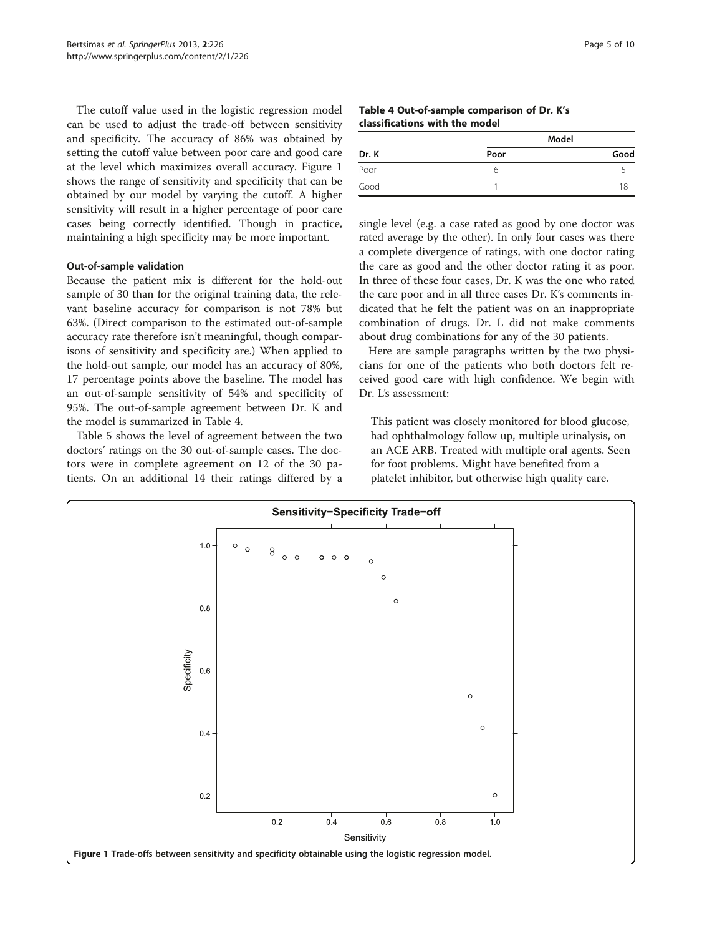The cutoff value used in the logistic regression model can be used to adjust the trade-off between sensitivity and specificity. The accuracy of 86% was obtained by setting the cutoff value between poor care and good care at the level which maximizes overall accuracy. Figure 1 shows the range of sensitivity and specificity that can be obtained by our model by varying the cutoff. A higher sensitivity will result in a higher percentage of poor care cases being correctly identified. Though in practice, maintaining a high specificity may be more important.

#### Out-of-sample validation

Because the patient mix is different for the hold-out sample of 30 than for the original training data, the relevant baseline accuracy for comparison is not 78% but 63%. (Direct comparison to the estimated out-of-sample accuracy rate therefore isn't meaningful, though comparisons of sensitivity and specificity are.) When applied to the hold-out sample, our model has an accuracy of 80%, 17 percentage points above the baseline. The model has an out-of-sample sensitivity of 54% and specificity of 95%. The out-of-sample agreement between Dr. K and the model is summarized in Table 4.

Table [5](#page-5-0) shows the level of agreement between the two doctors' ratings on the 30 out-of-sample cases. The doctors were in complete agreement on 12 of the 30 patients. On an additional 14 their ratings differed by a

| Table 4 Out-of-sample comparison of Dr. K's |
|---------------------------------------------|
| classifications with the model              |

| Dr. K | Model |      |
|-------|-------|------|
|       | Poor  | Good |
| Poor  | n     |      |
| Good  |       | 18   |

single level (e.g. a case rated as good by one doctor was rated average by the other). In only four cases was there a complete divergence of ratings, with one doctor rating the care as good and the other doctor rating it as poor. In three of these four cases, Dr. K was the one who rated the care poor and in all three cases Dr. K's comments indicated that he felt the patient was on an inappropriate combination of drugs. Dr. L did not make comments about drug combinations for any of the 30 patients.

Here are sample paragraphs written by the two physicians for one of the patients who both doctors felt received good care with high confidence. We begin with Dr. L's assessment:

This patient was closely monitored for blood glucose, had ophthalmology follow up, multiple urinalysis, on an ACE ARB. Treated with multiple oral agents. Seen for foot problems. Might have benefited from a platelet inhibitor, but otherwise high quality care.

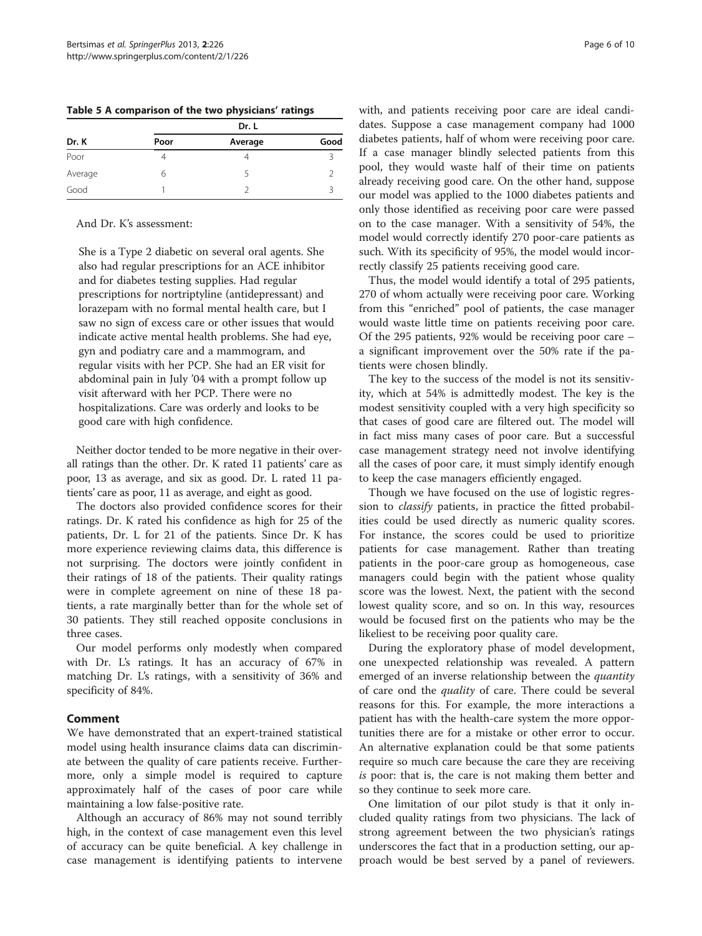<span id="page-5-0"></span>Table 5 A comparison of the two physicians' ratings

| Dr. K   | Dr. L |         |      |
|---------|-------|---------|------|
|         | Poor  | Average | Good |
| Poor    | 4     |         |      |
| Average | 6     |         |      |
| Good    |       |         |      |

And Dr. K's assessment:

She is a Type 2 diabetic on several oral agents. She also had regular prescriptions for an ACE inhibitor and for diabetes testing supplies. Had regular prescriptions for nortriptyline (antidepressant) and lorazepam with no formal mental health care, but I saw no sign of excess care or other issues that would indicate active mental health problems. She had eye, gyn and podiatry care and a mammogram, and regular visits with her PCP. She had an ER visit for abdominal pain in July '04 with a prompt follow up visit afterward with her PCP. There were no hospitalizations. Care was orderly and looks to be good care with high confidence.

Neither doctor tended to be more negative in their overall ratings than the other. Dr. K rated 11 patients' care as poor, 13 as average, and six as good. Dr. L rated 11 patients' care as poor, 11 as average, and eight as good.

The doctors also provided confidence scores for their ratings. Dr. K rated his confidence as high for 25 of the patients, Dr. L for 21 of the patients. Since Dr. K has more experience reviewing claims data, this difference is not surprising. The doctors were jointly confident in their ratings of 18 of the patients. Their quality ratings were in complete agreement on nine of these 18 patients, a rate marginally better than for the whole set of 30 patients. They still reached opposite conclusions in three cases.

Our model performs only modestly when compared with Dr. L's ratings. It has an accuracy of 67% in matching Dr. L's ratings, with a sensitivity of 36% and specificity of 84%.

# Comment

We have demonstrated that an expert-trained statistical model using health insurance claims data can discriminate between the quality of care patients receive. Furthermore, only a simple model is required to capture approximately half of the cases of poor care while maintaining a low false-positive rate.

Although an accuracy of 86% may not sound terribly high, in the context of case management even this level of accuracy can be quite beneficial. A key challenge in case management is identifying patients to intervene

with, and patients receiving poor care are ideal candidates. Suppose a case management company had 1000 diabetes patients, half of whom were receiving poor care. If a case manager blindly selected patients from this pool, they would waste half of their time on patients already receiving good care. On the other hand, suppose our model was applied to the 1000 diabetes patients and only those identified as receiving poor care were passed on to the case manager. With a sensitivity of 54%, the model would correctly identify 270 poor-care patients as such. With its specificity of 95%, the model would incorrectly classify 25 patients receiving good care.

Thus, the model would identify a total of 295 patients, 270 of whom actually were receiving poor care. Working from this "enriched" pool of patients, the case manager would waste little time on patients receiving poor care. Of the 295 patients, 92% would be receiving poor care – a significant improvement over the 50% rate if the patients were chosen blindly.

The key to the success of the model is not its sensitivity, which at 54% is admittedly modest. The key is the modest sensitivity coupled with a very high specificity so that cases of good care are filtered out. The model will in fact miss many cases of poor care. But a successful case management strategy need not involve identifying all the cases of poor care, it must simply identify enough to keep the case managers efficiently engaged.

Though we have focused on the use of logistic regression to classify patients, in practice the fitted probabilities could be used directly as numeric quality scores. For instance, the scores could be used to prioritize patients for case management. Rather than treating patients in the poor-care group as homogeneous, case managers could begin with the patient whose quality score was the lowest. Next, the patient with the second lowest quality score, and so on. In this way, resources would be focused first on the patients who may be the likeliest to be receiving poor quality care.

During the exploratory phase of model development, one unexpected relationship was revealed. A pattern emerged of an inverse relationship between the *quantity* of care ond the *quality* of care. There could be several reasons for this. For example, the more interactions a patient has with the health-care system the more opportunities there are for a mistake or other error to occur. An alternative explanation could be that some patients require so much care because the care they are receiving is poor: that is, the care is not making them better and so they continue to seek more care.

One limitation of our pilot study is that it only included quality ratings from two physicians. The lack of strong agreement between the two physician's ratings underscores the fact that in a production setting, our approach would be best served by a panel of reviewers.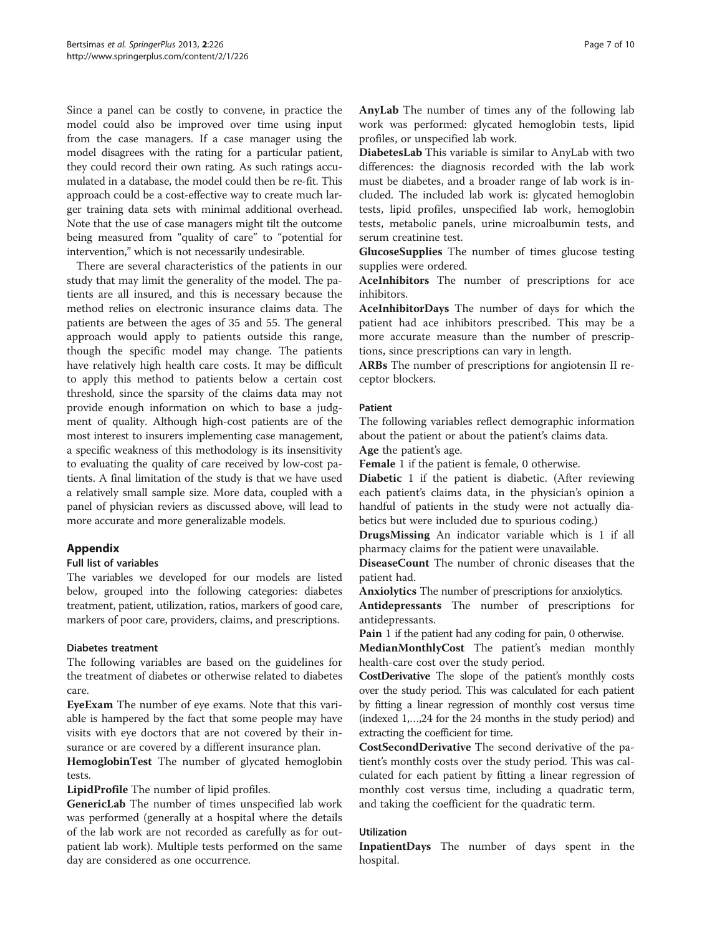<span id="page-6-0"></span>Since a panel can be costly to convene, in practice the model could also be improved over time using input from the case managers. If a case manager using the model disagrees with the rating for a particular patient, they could record their own rating. As such ratings accumulated in a database, the model could then be re-fit. This approach could be a cost-effective way to create much larger training data sets with minimal additional overhead. Note that the use of case managers might tilt the outcome being measured from "quality of care" to "potential for intervention," which is not necessarily undesirable.

There are several characteristics of the patients in our study that may limit the generality of the model. The patients are all insured, and this is necessary because the method relies on electronic insurance claims data. The patients are between the ages of 35 and 55. The general approach would apply to patients outside this range, though the specific model may change. The patients have relatively high health care costs. It may be difficult to apply this method to patients below a certain cost threshold, since the sparsity of the claims data may not provide enough information on which to base a judgment of quality. Although high-cost patients are of the most interest to insurers implementing case management, a specific weakness of this methodology is its insensitivity to evaluating the quality of care received by low-cost patients. A final limitation of the study is that we have used a relatively small sample size. More data, coupled with a panel of physician reviers as discussed above, will lead to more accurate and more generalizable models.

# Appendix

# Full list of variables

The variables we developed for our models are listed below, grouped into the following categories: diabetes treatment, patient, utilization, ratios, markers of good care, markers of poor care, providers, claims, and prescriptions.

#### Diabetes treatment

The following variables are based on the guidelines for the treatment of diabetes or otherwise related to diabetes care.

EyeExam The number of eye exams. Note that this variable is hampered by the fact that some people may have visits with eye doctors that are not covered by their insurance or are covered by a different insurance plan.

HemoglobinTest The number of glycated hemoglobin tests.

LipidProfile The number of lipid profiles.

GenericLab The number of times unspecified lab work was performed (generally at a hospital where the details of the lab work are not recorded as carefully as for outpatient lab work). Multiple tests performed on the same day are considered as one occurrence.

AnyLab The number of times any of the following lab work was performed: glycated hemoglobin tests, lipid profiles, or unspecified lab work.

DiabetesLab This variable is similar to AnyLab with two differences: the diagnosis recorded with the lab work must be diabetes, and a broader range of lab work is included. The included lab work is: glycated hemoglobin tests, lipid profiles, unspecified lab work, hemoglobin tests, metabolic panels, urine microalbumin tests, and serum creatinine test.

GlucoseSupplies The number of times glucose testing supplies were ordered.

AceInhibitors The number of prescriptions for ace inhibitors.

AceInhibitorDays The number of days for which the patient had ace inhibitors prescribed. This may be a more accurate measure than the number of prescriptions, since prescriptions can vary in length.

ARBs The number of prescriptions for angiotensin II receptor blockers.

### Patient

The following variables reflect demographic information about the patient or about the patient's claims data. Age the patient's age.

Female 1 if the patient is female, 0 otherwise.

Diabetic 1 if the patient is diabetic. (After reviewing each patient's claims data, in the physician's opinion a handful of patients in the study were not actually diabetics but were included due to spurious coding.)

DrugsMissing An indicator variable which is 1 if all pharmacy claims for the patient were unavailable.

DiseaseCount The number of chronic diseases that the patient had.

Anxiolytics The number of prescriptions for anxiolytics.

Antidepressants The number of prescriptions for antidepressants.

Pain 1 if the patient had any coding for pain, 0 otherwise.

MedianMonthlyCost The patient's median monthly health-care cost over the study period.

CostDerivative The slope of the patient's monthly costs over the study period. This was calculated for each patient by fitting a linear regression of monthly cost versus time (indexed 1,…,24 for the 24 months in the study period) and extracting the coefficient for time.

CostSecondDerivative The second derivative of the patient's monthly costs over the study period. This was calculated for each patient by fitting a linear regression of monthly cost versus time, including a quadratic term, and taking the coefficient for the quadratic term.

#### Utilization

InpatientDays The number of days spent in the hospital.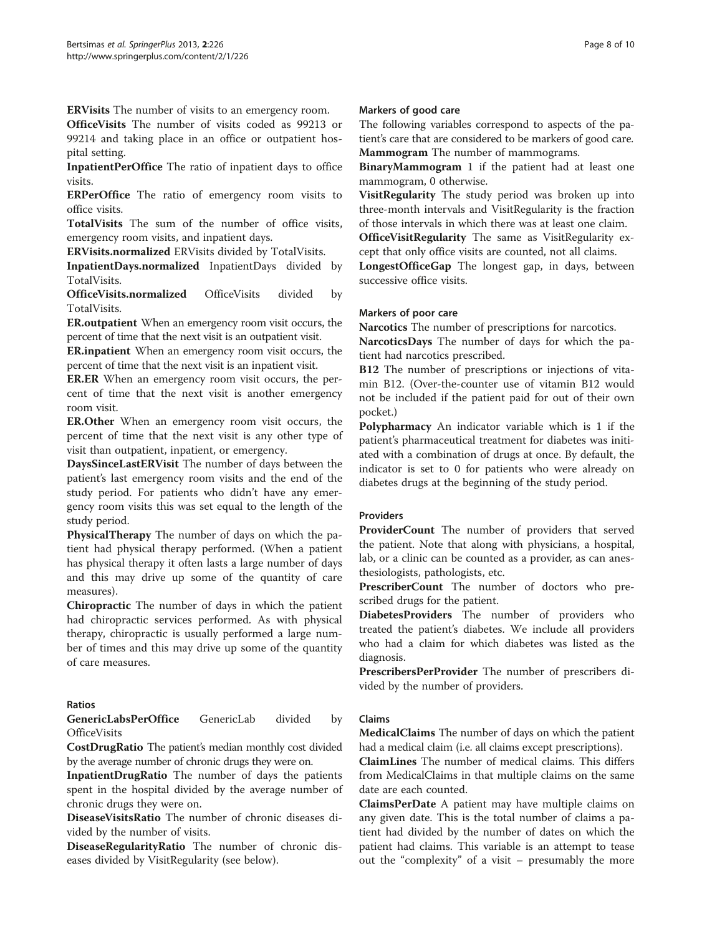ERVisits The number of visits to an emergency room.

OfficeVisits The number of visits coded as 99213 or 99214 and taking place in an office or outpatient hospital setting.

InpatientPerOffice The ratio of inpatient days to office visits.

ERPerOffice The ratio of emergency room visits to office visits.

TotalVisits The sum of the number of office visits, emergency room visits, and inpatient days.

ERVisits.normalized ERVisits divided by TotalVisits.

InpatientDays.normalized InpatientDays divided by TotalVisits.

OfficeVisits.normalized OfficeVisits divided by **TotalVisits.** 

ER.outpatient When an emergency room visit occurs, the percent of time that the next visit is an outpatient visit.

ER.inpatient When an emergency room visit occurs, the percent of time that the next visit is an inpatient visit.

ER.ER When an emergency room visit occurs, the percent of time that the next visit is another emergency room visit.

ER.Other When an emergency room visit occurs, the percent of time that the next visit is any other type of visit than outpatient, inpatient, or emergency.

DaysSinceLastERVisit The number of days between the patient's last emergency room visits and the end of the study period. For patients who didn't have any emergency room visits this was set equal to the length of the study period.

PhysicalTherapy The number of days on which the patient had physical therapy performed. (When a patient has physical therapy it often lasts a large number of days and this may drive up some of the quantity of care measures).

Chiropractic The number of days in which the patient had chiropractic services performed. As with physical therapy, chiropractic is usually performed a large number of times and this may drive up some of the quantity of care measures.

# Ratios

GenericLabsPerOffice GenericLab divided by **OfficeVisits** 

CostDrugRatio The patient's median monthly cost divided by the average number of chronic drugs they were on.

InpatientDrugRatio The number of days the patients spent in the hospital divided by the average number of chronic drugs they were on.

DiseaseVisitsRatio The number of chronic diseases divided by the number of visits.

DiseaseRegularityRatio The number of chronic diseases divided by VisitRegularity (see below).

# Markers of good care

The following variables correspond to aspects of the patient's care that are considered to be markers of good care. Mammogram The number of mammograms.

BinaryMammogram 1 if the patient had at least one mammogram, 0 otherwise.

VisitRegularity The study period was broken up into three-month intervals and VisitRegularity is the fraction of those intervals in which there was at least one claim.

OfficeVisitRegularity The same as VisitRegularity except that only office visits are counted, not all claims.

LongestOfficeGap The longest gap, in days, between successive office visits.

# Markers of poor care

Narcotics The number of prescriptions for narcotics. NarcoticsDays The number of days for which the patient had narcotics prescribed.

B12 The number of prescriptions or injections of vitamin B12. (Over-the-counter use of vitamin B12 would not be included if the patient paid for out of their own pocket.)

Polypharmacy An indicator variable which is 1 if the patient's pharmaceutical treatment for diabetes was initiated with a combination of drugs at once. By default, the indicator is set to 0 for patients who were already on diabetes drugs at the beginning of the study period.

# Providers

ProviderCount The number of providers that served the patient. Note that along with physicians, a hospital, lab, or a clinic can be counted as a provider, as can anesthesiologists, pathologists, etc.

PrescriberCount The number of doctors who prescribed drugs for the patient.

DiabetesProviders The number of providers who treated the patient's diabetes. We include all providers who had a claim for which diabetes was listed as the diagnosis.

PrescribersPerProvider The number of prescribers divided by the number of providers.

# Claims

MedicalClaims The number of days on which the patient had a medical claim (i.e. all claims except prescriptions).

ClaimLines The number of medical claims. This differs from MedicalClaims in that multiple claims on the same date are each counted.

ClaimsPerDate A patient may have multiple claims on any given date. This is the total number of claims a patient had divided by the number of dates on which the patient had claims. This variable is an attempt to tease out the "complexity" of a visit – presumably the more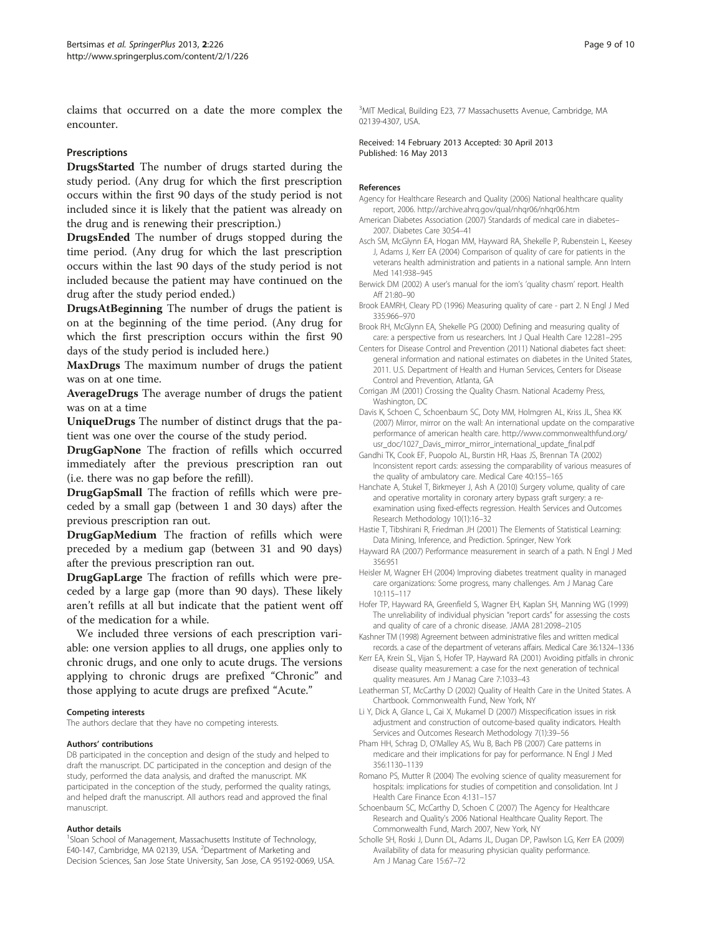<span id="page-8-0"></span>claims that occurred on a date the more complex the encounter.

### Prescriptions

DrugsStarted The number of drugs started during the study period. (Any drug for which the first prescription occurs within the first 90 days of the study period is not included since it is likely that the patient was already on the drug and is renewing their prescription.)

DrugsEnded The number of drugs stopped during the time period. (Any drug for which the last prescription occurs within the last 90 days of the study period is not included because the patient may have continued on the drug after the study period ended.)

DrugsAtBeginning The number of drugs the patient is on at the beginning of the time period. (Any drug for which the first prescription occurs within the first 90 days of the study period is included here.)

MaxDrugs The maximum number of drugs the patient was on at one time.

AverageDrugs The average number of drugs the patient was on at a time

UniqueDrugs The number of distinct drugs that the patient was one over the course of the study period.

DrugGapNone The fraction of refills which occurred immediately after the previous prescription ran out (i.e. there was no gap before the refill).

DrugGapSmall The fraction of refills which were preceded by a small gap (between 1 and 30 days) after the previous prescription ran out.

DrugGapMedium The fraction of refills which were preceded by a medium gap (between 31 and 90 days) after the previous prescription ran out.

DrugGapLarge The fraction of refills which were preceded by a large gap (more than 90 days). These likely aren't refills at all but indicate that the patient went off of the medication for a while.

We included three versions of each prescription variable: one version applies to all drugs, one applies only to chronic drugs, and one only to acute drugs. The versions applying to chronic drugs are prefixed "Chronic" and those applying to acute drugs are prefixed "Acute."

#### Competing interests

The authors declare that they have no competing interests.

#### Authors' contributions

DB participated in the conception and design of the study and helped to draft the manuscript. DC participated in the conception and design of the study, performed the data analysis, and drafted the manuscript. MK participated in the conception of the study, performed the quality ratings, and helped draft the manuscript. All authors read and approved the final manuscript.

#### Author details

<sup>1</sup>Sloan School of Management, Massachusetts Institute of Technology, E40-147, Cambridge, MA 02139, USA. <sup>2</sup>Department of Marketing and Decision Sciences, San Jose State University, San Jose, CA 95192-0069, USA.

3 MIT Medical, Building E23, 77 Massachusetts Avenue, Cambridge, MA 02139-4307, USA.

Received: 14 February 2013 Accepted: 30 April 2013 Published: 16 May 2013

#### References

- Agency for Healthcare Research and Quality (2006) National healthcare quality report, 2006.<http://archive.ahrq.gov/qual/nhqr06/nhqr06.htm>
- American Diabetes Association (2007) Standards of medical care in diabetes– 2007. Diabetes Care 30:S4–41
- Asch SM, McGlynn EA, Hogan MM, Hayward RA, Shekelle P, Rubenstein L, Keesey J, Adams J, Kerr EA (2004) Comparison of quality of care for patients in the veterans health administration and patients in a national sample. Ann Intern Med 141:938–945
- Berwick DM (2002) A user's manual for the iom's 'quality chasm' report. Health Aff 21:80–90
- Brook EAMRH, Cleary PD (1996) Measuring quality of care part 2. N Engl J Med 335:966–970
- Brook RH, McGlynn EA, Shekelle PG (2000) Defining and measuring quality of care: a perspective from us researchers. Int J Qual Health Care 12:281–295
- Centers for Disease Control and Prevention (2011) National diabetes fact sheet: general information and national estimates on diabetes in the United States, 2011. U.S. Department of Health and Human Services, Centers for Disease Control and Prevention, Atlanta, GA
- Corrigan JM (2001) Crossing the Quality Chasm. National Academy Press, Washington, DC
- Davis K, Schoen C, Schoenbaum SC, Doty MM, Holmgren AL, Kriss JL, Shea KK (2007) Mirror, mirror on the wall: An international update on the comparative performance of american health care. [http://www.commonwealthfund.org/](http://www.commonwealthfund.org/usr_doc/1027_Davis_mirror_mirror_international_update_final.pdf) [usr\\_doc/1027\\_Davis\\_mirror\\_mirror\\_international\\_update\\_final.pdf](http://www.commonwealthfund.org/usr_doc/1027_Davis_mirror_mirror_international_update_final.pdf)
- Gandhi TK, Cook EF, Puopolo AL, Burstin HR, Haas JS, Brennan TA (2002) Inconsistent report cards: assessing the comparability of various measures of the quality of ambulatory care. Medical Care 40:155–165
- Hanchate A, Stukel T, Birkmeyer J, Ash A (2010) Surgery volume, quality of care and operative mortality in coronary artery bypass graft surgery: a reexamination using fixed-effects regression. Health Services and Outcomes Research Methodology 10(1):16–32
- Hastie T, Tibshirani R, Friedman JH (2001) The Elements of Statistical Learning: Data Mining, Inference, and Prediction. Springer, New York
- Hayward RA (2007) Performance measurement in search of a path. N Engl J Med 356:951
- Heisler M, Wagner EH (2004) Improving diabetes treatment quality in managed care organizations: Some progress, many challenges. Am J Manag Care 10:115–117
- Hofer TP, Hayward RA, Greenfield S, Wagner EH, Kaplan SH, Manning WG (1999) The unreliability of individual physician "report cards" for assessing the costs and quality of care of a chronic disease. JAMA 281:2098–2105
- Kashner TM (1998) Agreement between administrative files and written medical records. a case of the department of veterans affairs. Medical Care 36:1324–1336
- Kerr EA, Krein SL, Vijan S, Hofer TP, Hayward RA (2001) Avoiding pitfalls in chronic disease quality measurement: a case for the next generation of technical quality measures. Am J Manag Care 7:1033–43
- Leatherman ST, McCarthy D (2002) Quality of Health Care in the United States. A Chartbook. Commonwealth Fund, New York, NY
- Li Y, Dick A, Glance L, Cai X, Mukamel D (2007) Misspecification issues in risk adjustment and construction of outcome-based quality indicators. Health Services and Outcomes Research Methodology 7(1):39–56
- Pham HH, Schrag D, O'Malley AS, Wu B, Bach PB (2007) Care patterns in medicare and their implications for pay for performance. N Engl J Med 356:1130–1139
- Romano PS, Mutter R (2004) The evolving science of quality measurement for hospitals: implications for studies of competition and consolidation. Int J Health Care Finance Econ 4:131–157
- Schoenbaum SC, McCarthy D, Schoen C (2007) The Agency for Healthcare Research and Quality's 2006 National Healthcare Quality Report. The Commonwealth Fund, March 2007, New York, NY
- Scholle SH, Roski J, Dunn DL, Adams JL, Dugan DP, Pawlson LG, Kerr EA (2009) Availability of data for measuring physician quality performance. Am J Manag Care 15:67–72